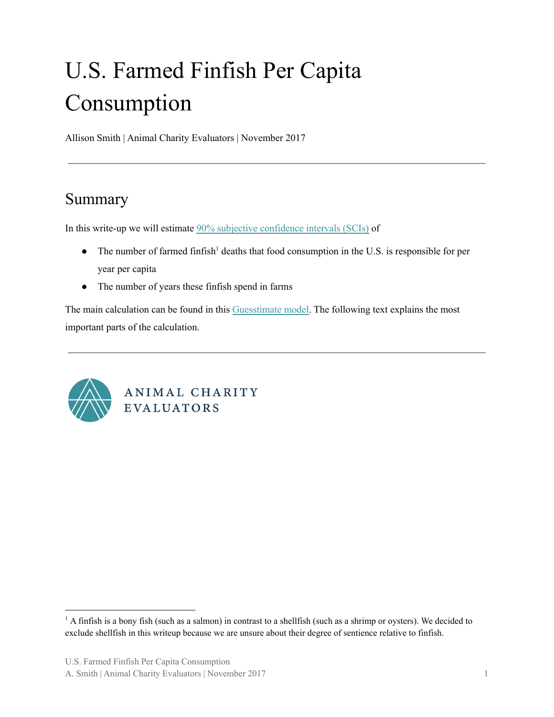# U.S. Farmed Finfish Per Capita Consumption

Allison Smith | Animal Charity Evaluators | November 2017

# Summary

In this write-up we will estimate 90% subjective [confidence](https://animalcharityevaluators.org/research/methodology/subjective-confidence-interval/) intervals (SCIs) of

- $\bullet$  The number of farmed finfish<sup>1</sup> deaths that food consumption in the U.S. is responsible for per year per capita
- The number of years these finfish spend in farms

The main calculation can be found in this [Guesstimate](https://www.getguesstimate.com/models/9916?token=k1KvmkB0E_IvYTut4bKxfMd9RHHcsuZfEGsZcCwp6MWyS5cfgVKppf9jOrICUlmisg7TzGqGvGn5jeqmeYljjQ) model. The following text explains the most important parts of the calculation.



ANIMAL CHARITY **EVALUATORS** 

A. Smith | Animal Charity Evaluators | November 2017 1

<sup>&</sup>lt;sup>1</sup> A finfish is a bony fish (such as a salmon) in contrast to a shellfish (such as a shrimp or oysters). We decided to exclude shellfish in this writeup because we are unsure about their degree of sentience relative to finfish.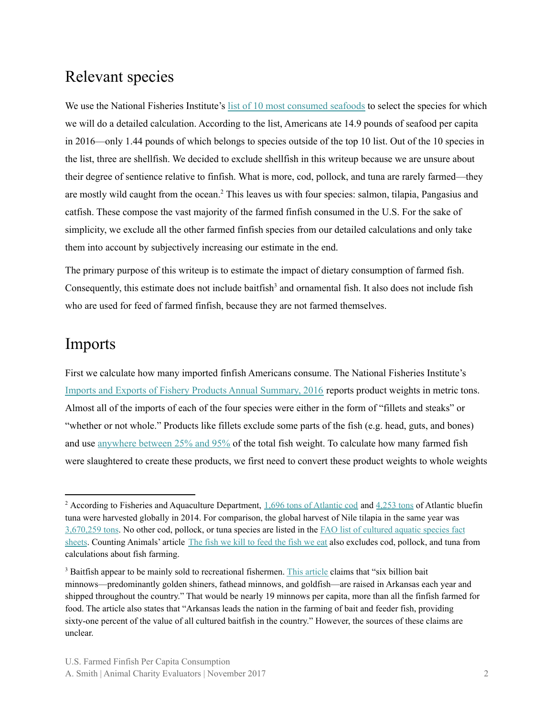#### Relevant species

We use the National Fisheries Institute's list of 10 most [consumed](https://www.aboutseafood.com/press_release/top-10-list-highlights-seafood-consumption-progress/) seafoods to select the species for which we will do a detailed calculation. According to the list, Americans ate 14.9 pounds of seafood per capita in 2016—only 1.44 pounds of which belongs to species outside of the top 10 list. Out of the 10 species in the list, three are shellfish. We decided to exclude shellfish in this writeup because we are unsure about their degree of sentience relative to finfish. What is more, cod, pollock, and tuna are rarely farmed—they are mostly wild caught from the ocean.<sup>2</sup> This leaves us with four species: salmon, tilapia, Pangasius and catfish. These compose the vast majority of the farmed finfish consumed in the U.S. For the sake of simplicity, we exclude all the other farmed finfish species from our detailed calculations and only take them into account by subjectively increasing our estimate in the end.

The primary purpose of this writeup is to estimate the impact of dietary consumption of farmed fish. Consequently, this estimate does not include baitfish<sup>3</sup> and ornamental fish. It also does not include fish who are used for feed of farmed finfish, because they are not farmed themselves.

### Imports

First we calculate how many imported finfish Americans consume. The National Fisheries Institute's Imports and Exports of Fishery Products Annual [Summary,](https://www.st.nmfs.noaa.gov/Assets/commercial/trade/Trade2016.pdf) 2016 reports product weights in metric tons. Almost all of the imports of each of the four species were either in the form of "fillets and steaks" or "whether or not whole." Products like fillets exclude some parts of the fish (e.g. head, guts, and bones) and use [anywhere](http://www.chefs-resources.com/seafood/seafood-yields/) between 25% and 95% of the total fish weight. To calculate how many farmed fish were slaughtered to create these products, we first need to convert these product weights to whole weights

<sup>&</sup>lt;sup>2</sup> According to Fisheries and Aquaculture Department,  $1,696$  tons of [Atlantic](http://www.fao.org/fishery/culturedspecies/Gadus_morhua/en) cod and  $4,253$  tons of Atlantic bluefin tuna were harvested globally in 2014. For comparison, the global harvest of Nile tilapia in the same year was [3,670,259](http://www.fao.org/fishery/culturedspecies/Oreochromis_niloticus/en) tons. No other cod, pollock, or tuna species are listed in the FAO list of [cultured](http://www.fao.org/fishery/culturedspecies/search/en) aquatic species fact [sheets](http://www.fao.org/fishery/culturedspecies/search/en). Counting Animals' article The fish we kill to [feed](http://www.countinganimals.com/the-fish-we-kill-to-feed-the-fish-we-eat/) the fish we eat also excludes cod, pollock, and tuna from calculations about fish farming.

<sup>&</sup>lt;sup>3</sup> Baitfish appear to be mainly sold to recreational fishermen. This [article](http://www.encyclopediaofarkansas.net/encyclopedia/entry-detail.aspx?entryID=3641) claims that "six billion bait" minnows—predominantly golden shiners, fathead minnows, and goldfish—are raised in Arkansas each year and shipped throughout the country." That would be nearly 19 minnows per capita, more than all the finfish farmed for food. The article also states that "Arkansas leads the nation in the farming of bait and feeder fish, providing sixty-one percent of the value of all cultured baitfish in the country." However, the sources of these claims are unclear.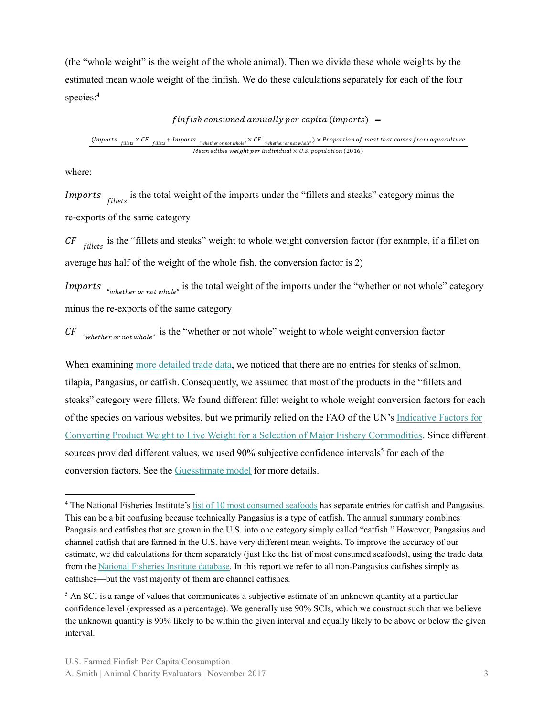(the "whole weight" is the weight of the whole animal). Then we divide these whole weights by the estimated mean whole weight of the finfish. We do these calculations separately for each of the four species: 4

#### $f$ infish consumed annually per capita (imports) =

( fillets  $\times$  CF  $_{\rm filledts}$  + Imports  $\cdot_{\rm whether \, or \, not \, whole^{*}} \times CF$   $\cdot_{\rm whether \, or \, not \, whole^{*}} \times$   $\times$  Proportion of meat that comes from aquaculture Mean edible weight per individual  $\times$  U.S. population (2016)

where:

*Imports fillets* is the total weight of the imports under the "fillets and steaks" category minus the re-exports of the same category

 $CF$  fillets and steaks" weight to whole weight conversion factor (for example, if a fillet on average has half of the weight of the whole fish, the conversion factor is 2)

*Imports* <sub>"whether or not whole" is the total weight of the imports under the "whether or not whole" category</sub> minus the re-exports of the same category

 $CF$  "whether or not whole" is the "whether or not whole" weight to whole weight conversion factor

When examining more [detailed](https://www.st.nmfs.noaa.gov/pls/webpls/trade_prdct.data_in?qtype=IMP&qmnth=12&qyear=2016&qprod_name=%25&qoutput=TABLE) trade data, we noticed that there are no entries for steaks of salmon, tilapia, Pangasius, or catfish. Consequently, we assumed that most of the products in the "fillets and steaks" category were fillets. We found different fillet weight to whole weight conversion factors for each of the species on various websites, but we primarily relied on the FAO of the UN's [Indicative](http://www.fao.org/3/a-bt963e.pdf) Factors for Converting Product Weight to Live Weight for a Selection of Major Fishery [Commodities](http://www.fao.org/3/a-bt963e.pdf). Since different sources provided different values, we used 90% subjective confidence intervals<sup>5</sup> for each of the conversion factors. See the [Guesstimate](https://www.getguesstimate.com/models/9916?token=k1KvmkB0E_IvYTut4bKxfMd9RHHcsuZfEGsZcCwp6MWyS5cfgVKppf9jOrICUlmisg7TzGqGvGn5jeqmeYljjQ) model for more details.

<sup>&</sup>lt;sup>4</sup> The National Fisheries Institute's list of 10 most [consumed](https://www.aboutseafood.com/press_release/top-10-list-highlights-seafood-consumption-progress/) seafoods has separate entries for catfish and Pangasius. This can be a bit confusing because technically Pangasius is a type of catfish. The annual summary combines Pangasia and catfishes that are grown in the U.S. into one category simply called "catfish." However, Pangasius and channel catfish that are farmed in the U.S. have very different mean weights. To improve the accuracy of our estimate, we did calculations for them separately (just like the list of most consumed seafoods), using the trade data from the National [Fisheries](https://www.st.nmfs.noaa.gov/commercial-fisheries/foreign-trade/applications/trade-by-product) Institute database. In this report we refer to all non-Pangasius catfishes simply as catfishes—but the vast majority of them are channel catfishes.

<sup>&</sup>lt;sup>5</sup> An SCI is a range of values that communicates a subjective estimate of an unknown quantity at a particular confidence level (expressed as a percentage). We generally use 90% SCIs, which we construct such that we believe the unknown quantity is 90% likely to be within the given interval and equally likely to be above or below the given interval.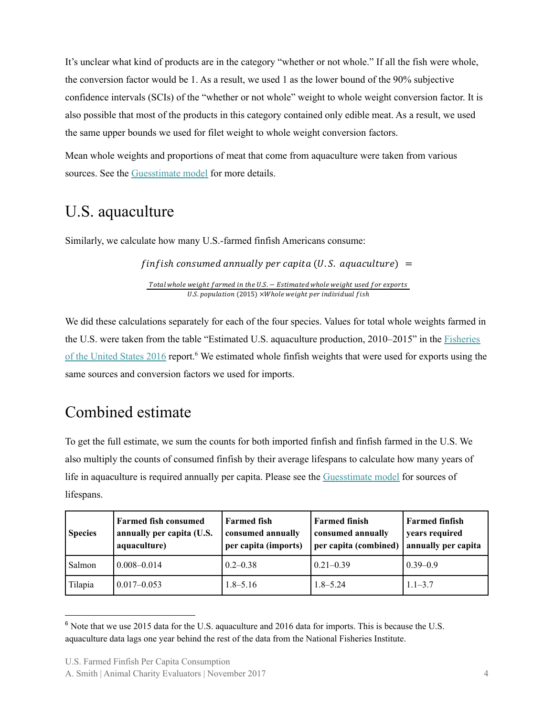It's unclear what kind of products are in the category "whether or not whole." If all the fish were whole, the conversion factor would be 1. As a result, we used 1 as the lower bound of the 90% subjective confidence intervals (SCIs) of the "whether or not whole" weight to whole weight conversion factor. It is also possible that most of the products in this category contained only edible meat. As a result, we used the same upper bounds we used for filet weight to whole weight conversion factors.

Mean whole weights and proportions of meat that come from aquaculture were taken from various sources. See the [Guesstimate](https://www.getguesstimate.com/models/9916?token=k1KvmkB0E_IvYTut4bKxfMd9RHHcsuZfEGsZcCwp6MWyS5cfgVKppf9jOrICUlmisg7TzGqGvGn5jeqmeYljjQ) model for more details.

# U.S. aquaculture

Similarly, we calculate how many U.S.-farmed finfish Americans consume:

 $f$ in $f$ ish consumed annually per capita (U.S. aquaculture) =

Total whole weight farmed in the U.S. - Estimated whole weight used for exports U.S. population (2015) ×Whole weight per individual fish

We did these calculations separately for each of the four species. Values for total whole weights farmed in the U.S. were taken from the table "Estimated U.S. aquaculture production, 2010–2015" in the [Fisheries](https://www.fisheries.noaa.gov/resource/document/fisheries-united-states-2016-report) of the [United](https://www.fisheries.noaa.gov/resource/document/fisheries-united-states-2016-report) States 2016 report.<sup>6</sup> We estimated whole finfish weights that were used for exports using the same sources and conversion factors we used for imports.

# Combined estimate

To get the full estimate, we sum the counts for both imported finfish and finfish farmed in the U.S. We also multiply the counts of consumed finfish by their average lifespans to calculate how many years of life in aquaculture is required annually per capita. Please see the [Guesstimate](https://www.getguesstimate.com/models/9916?token=k1KvmkB0E_IvYTut4bKxfMd9RHHcsuZfEGsZcCwp6MWyS5cfgVKppf9jOrICUlmisg7TzGqGvGn5jeqmeYljjQ) model for sources of lifespans.

| <b>Species</b> | <b>Farmed fish consumed</b><br>annually per capita (U.S.<br>aquaculture) | <b>Farmed fish</b><br>consumed annually<br>per capita (imports) | <b>Farmed finish</b><br>consumed annually<br>per capita (combined) | <b>Farmed finfish</b><br>years required<br>annually per capita |
|----------------|--------------------------------------------------------------------------|-----------------------------------------------------------------|--------------------------------------------------------------------|----------------------------------------------------------------|
| Salmon         | $0.008 - 0.014$                                                          | $0.2 - 0.38$                                                    | $0.21 - 0.39$                                                      | $0.39 - 0.9$                                                   |
| Tilapia        | $0.017 - 0.053$                                                          | $1.8 - 5.16$                                                    | $1.8 - 5.24$                                                       | $1.1 - 3.7$                                                    |

<sup>&</sup>lt;sup>6</sup> Note that we use 2015 data for the U.S. aquaculture and 2016 data for imports. This is because the U.S. aquaculture data lags one year behind the rest of the data from the National Fisheries Institute.

U.S. Farmed Finfish Per Capita Consumption

A. Smith | Animal Charity Evaluators | November 2017 4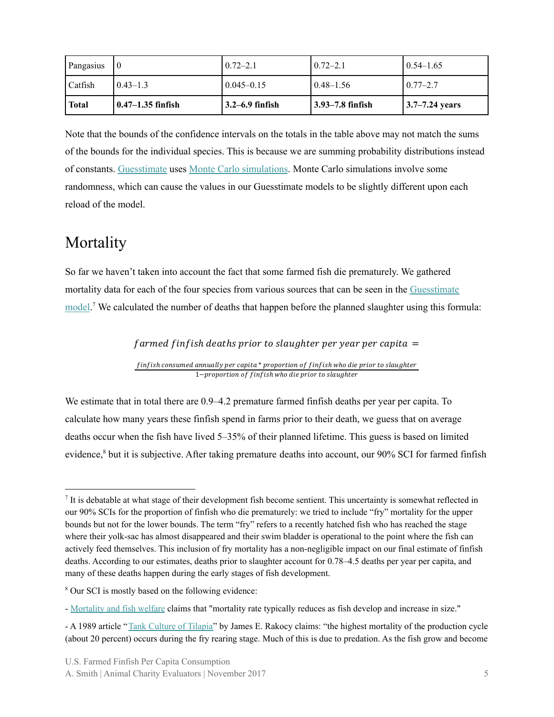| Pangasius    |                     | $0.72 - 2.1$         | $0.72 - 2.1$     | $0.54 - 1.65$                |
|--------------|---------------------|----------------------|------------------|------------------------------|
| Catfish      | $0.43 - 1.3$        | $0.045 - 0.15$       | $0.48 - 1.56$    | $0.77 - 2.7$                 |
| <b>Total</b> | l 0.47–1.35 finfish | $13.2 - 6.9$ finfish | 3.93–7.8 finfish | $ 3.7 - 7.24 \text{ years} $ |

Note that the bounds of the confidence intervals on the totals in the table above may not match the sums of the bounds for the individual species. This is because we are summing probability distributions instead of constants. [Guesstimate](https://www.getguesstimate.com/models/9916?token=k1KvmkB0E_IvYTut4bKxfMd9RHHcsuZfEGsZcCwp6MWyS5cfgVKppf9jOrICUlmisg7TzGqGvGn5jeqmeYljjQ) uses Monte Carlo [simulations](https://en.wikipedia.org/wiki/Monte_Carlo_method). Monte Carlo simulations involve some randomness, which can cause the values in our Guesstimate models to be slightly different upon each reload of the model.

### **Mortality**

So far we haven't taken into account the fact that some farmed fish die prematurely. We gathered mortality data for each of the four species from various sources that can be seen in the [Guesstimate](https://www.getguesstimate.com/models/9916?token=k1KvmkB0E_IvYTut4bKxfMd9RHHcsuZfEGsZcCwp6MWyS5cfgVKppf9jOrICUlmisg7TzGqGvGn5jeqmeYljjQ) [model](https://www.getguesstimate.com/models/9916?token=k1KvmkB0E_IvYTut4bKxfMd9RHHcsuZfEGsZcCwp6MWyS5cfgVKppf9jOrICUlmisg7TzGqGvGn5jeqmeYljjQ).<sup>7</sup> We calculated the number of deaths that happen before the planned slaughter using this formula:

 $f$ armed  $f$ in $f$ ish deaths prior to slaughter per year per capita =

finfish consumed annually per capita \* proportion of finfish who die prior to slaughter 1-proportion of finfish who die prior to slaughter

We estimate that in total there are 0.9–4.2 premature farmed finfish deaths per year per capita. To calculate how many years these finfish spend in farms prior to their death, we guess that on average deaths occur when the fish have lived 5–35% of their planned lifetime. This guess is based on limited evidence,<sup>8</sup> but it is subjective. After taking premature deaths into account, our 90% SCI for farmed finfish

If is debatable at what stage of their development fish become sentient. This uncertainty is somewhat reflected in our 90% SCIs for the proportion of finfish who die prematurely: we tried to include "fry" mortality for the upper bounds but not for the lower bounds. The term "fry" refers to a recently hatched fish who has reached the stage where their yolk-sac has almost disappeared and their swim bladder is operational to the point where the fish can actively feed themselves. This inclusion of fry mortality has a non-negligible impact on our final estimate of finfish deaths. According to our estimates, deaths prior to slaughter account for 0.78–4.5 deaths per year per capita, and many of these deaths happen during the early stages of fish development.

<sup>8</sup> Our SCI is mostly based on the following evidence:

<sup>-</sup> [Mortality](https://www.ncbi.nlm.nih.gov/pubmed/21922247) and fish welfare claims that "mortality rate typically reduces as fish develop and increase in size."

<sup>-</sup> A 1989 article "Tank [Culture](https://cals.arizona.edu/azaqua/extension/Classroom/pdffiles/282fs.pdf) of Tilapia" by James E. Rakocy claims: "the highest mortality of the production cycle (about 20 percent) occurs during the fry rearing stage. Much of this is due to predation. As the fish grow and become

U.S. Farmed Finfish Per Capita Consumption

A. Smith | Animal Charity Evaluators | November 2017 5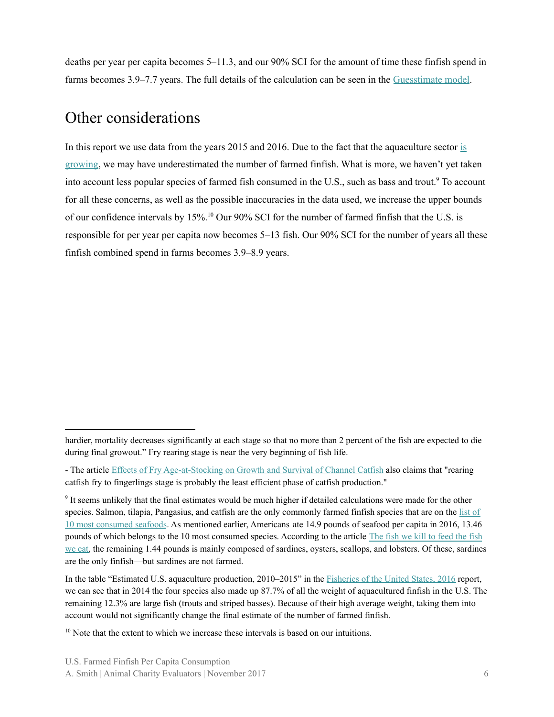deaths per year per capita becomes 5–11.3, and our 90% SCI for the amount of time these finfish spend in farms becomes 3.9–7.7 years. The full details of the calculation can be seen in the [Guesstimate](https://www.getguesstimate.com/models/9916?token=k1KvmkB0E_IvYTut4bKxfMd9RHHcsuZfEGsZcCwp6MWyS5cfgVKppf9jOrICUlmisg7TzGqGvGn5jeqmeYljjQ) model.

## Other considerations

In this report we use data from the years 2015 and 2016. Due to the fact that the aquaculture sector [is](http://projectearth.us/aquaculture-the-fastest-growing-food-sector-in-the-wor-1800675704) [growing,](http://projectearth.us/aquaculture-the-fastest-growing-food-sector-in-the-wor-1800675704) we may have underestimated the number of farmed finfish. What is more, we haven't yet taken into account less popular species of farmed fish consumed in the U.S., such as bass and trout.<sup>9</sup> To account for all these concerns, as well as the possible inaccuracies in the data used, we increase the upper bounds of our confidence intervals by 15%.<sup>10</sup> Our 90% SCI for the number of farmed finfish that the U.S. is responsible for per year per capita now becomes 5–13 fish. Our 90% SCI for the number of years all these finfish combined spend in farms becomes 3.9–8.9 years.

hardier, mortality decreases significantly at each stage so that no more than 2 percent of the fish are expected to die during final growout." Fry rearing stage is near the very beginning of fish life.

<sup>-</sup> The article Effects of Fry [Age-at-Stocking](http://onlinelibrary.wiley.com/doi/10.1111/j.1749-7345.2011.00539.x/abstract) on Growth and Survival of Channel Catfish also claims that "rearing catfish fry to fingerlings stage is probably the least efficient phase of catfish production."

<sup>&</sup>lt;sup>9</sup> It seems unlikely that the final estimates would be much higher if detailed calculations were made for the other species. Salmon, tilapia, Pangasius, and catfish are the only commonly farmed finfish species that are on the [list](https://www.aboutseafood.com/about/top-ten-list-for-seafood-consumption/) of 10 most [consumed](https://www.aboutseafood.com/about/top-ten-list-for-seafood-consumption/) seafoods. As mentioned earlier, Americans ate 14.9 pounds of seafood per capita in 2016, 13.46 pounds of which belongs to the 10 most consumed species. According to the article The fish we kill to [feed](http://www.countinganimals.com/the-fish-we-kill-to-feed-the-fish-we-eat/) the fish we [eat,](http://www.countinganimals.com/the-fish-we-kill-to-feed-the-fish-we-eat/) the remaining 1.44 pounds is mainly composed of sardines, oysters, scallops, and lobsters. Of these, sardines are the only finfish—but sardines are not farmed.

In the table "Estimated U.S. aquaculture production, 2010–2015" in the [Fisheries](https://www.fisheries.noaa.gov/resource/document/fisheries-united-states-2016-report) of the United States, 2016 report, we can see that in 2014 the four species also made up 87.7% of all the weight of aquacultured finfish in the U.S. The remaining 12.3% are large fish (trouts and striped basses). Because of their high average weight, taking them into account would not significantly change the final estimate of the number of farmed finfish.

 $10$  Note that the extent to which we increase these intervals is based on our intuitions.